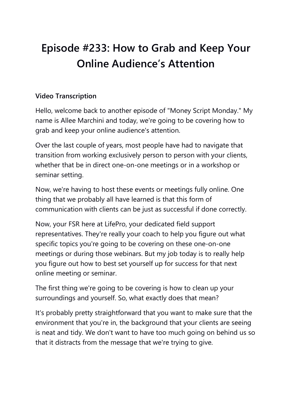## **Episode #233: How to Grab and Keep Your Online Audience's Attention**

## **Video Transcription**

Hello, welcome back to another episode of "Money Script Monday." My name is Allee Marchini and today, we're going to be covering how to grab and keep your online audience's attention.

Over the last couple of years, most people have had to navigate that transition from working exclusively person to person with your clients, whether that be in direct one-on-one meetings or in a workshop or seminar setting.

Now, we're having to host these events or meetings fully online. One thing that we probably all have learned is that this form of communication with clients can be just as successful if done correctly.

Now, your FSR here at LifePro, your dedicated field support representatives. They're really your coach to help you figure out what specific topics you're going to be covering on these one-on-one meetings or during those webinars. But my job today is to really help you figure out how to best set yourself up for success for that next online meeting or seminar.

The first thing we're going to be covering is how to clean up your surroundings and yourself. So, what exactly does that mean?

It's probably pretty straightforward that you want to make sure that the environment that you're in, the background that your clients are seeing is neat and tidy. We don't want to have too much going on behind us so that it distracts from the message that we're trying to give.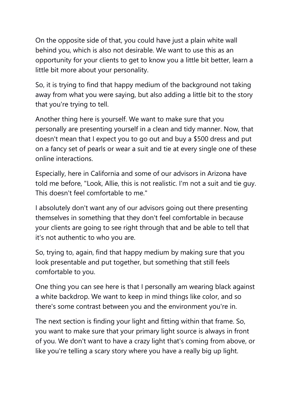On the opposite side of that, you could have just a plain white wall behind you, which is also not desirable. We want to use this as an opportunity for your clients to get to know you a little bit better, learn a little bit more about your personality.

So, it is trying to find that happy medium of the background not taking away from what you were saying, but also adding a little bit to the story that you're trying to tell.

Another thing here is yourself. We want to make sure that you personally are presenting yourself in a clean and tidy manner. Now, that doesn't mean that I expect you to go out and buy a \$500 dress and put on a fancy set of pearls or wear a suit and tie at every single one of these online interactions.

Especially, here in California and some of our advisors in Arizona have told me before, "Look, Allie, this is not realistic. I'm not a suit and tie guy. This doesn't feel comfortable to me."

I absolutely don't want any of our advisors going out there presenting themselves in something that they don't feel comfortable in because your clients are going to see right through that and be able to tell that it's not authentic to who you are.

So, trying to, again, find that happy medium by making sure that you look presentable and put together, but something that still feels comfortable to you.

One thing you can see here is that I personally am wearing black against a white backdrop. We want to keep in mind things like color, and so there's some contrast between you and the environment you're in.

The next section is finding your light and fitting within that frame. So, you want to make sure that your primary light source is always in front of you. We don't want to have a crazy light that's coming from above, or like you're telling a scary story where you have a really big up light.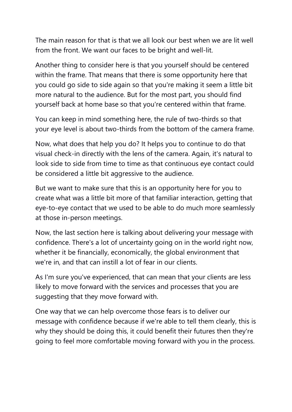The main reason for that is that we all look our best when we are lit well from the front. We want our faces to be bright and well-lit.

Another thing to consider here is that you yourself should be centered within the frame. That means that there is some opportunity here that you could go side to side again so that you're making it seem a little bit more natural to the audience. But for the most part, you should find yourself back at home base so that you're centered within that frame.

You can keep in mind something here, the rule of two-thirds so that your eye level is about two-thirds from the bottom of the camera frame.

Now, what does that help you do? It helps you to continue to do that visual check-in directly with the lens of the camera. Again, it's natural to look side to side from time to time as that continuous eye contact could be considered a little bit aggressive to the audience.

But we want to make sure that this is an opportunity here for you to create what was a little bit more of that familiar interaction, getting that eye-to-eye contact that we used to be able to do much more seamlessly at those in-person meetings.

Now, the last section here is talking about delivering your message with confidence. There's a lot of uncertainty going on in the world right now, whether it be financially, economically, the global environment that we're in, and that can instill a lot of fear in our clients.

As I'm sure you've experienced, that can mean that your clients are less likely to move forward with the services and processes that you are suggesting that they move forward with.

One way that we can help overcome those fears is to deliver our message with confidence because if we're able to tell them clearly, this is why they should be doing this, it could benefit their futures then they're going to feel more comfortable moving forward with you in the process.